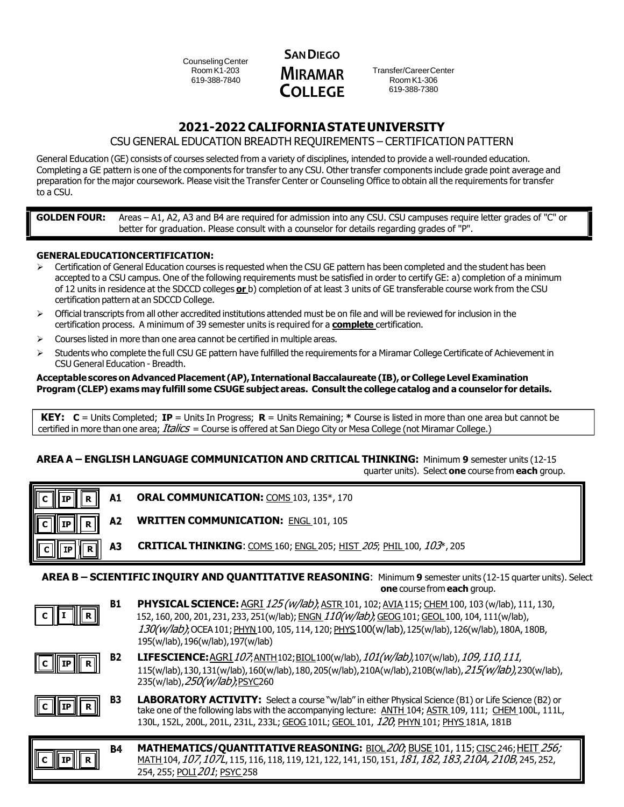CounselingCenter Room K1-203 619-388-7840



Transfer/CareerCenter RoomK1-306 619-388-7380

# **2021-2022 CALIFORNIASTATEUNIVERSITY**

# CSU GENERAL EDUCATION BREADTH REQUIREMENTS – CERTIFICATION PATTERN

General Education (GE) consists of courses selected from a variety of disciplines, intended to provide a well-rounded education. Completing a GE pattern is one of the components for transfer to any CSU. Other transfer components include grade point average and preparation for the major coursework. Please visit the Transfer Center or Counseling Office to obtain all the requirements for transfer to a CSU.

**GOLDEN FOUR:** Areas – A1, A2, A3 and B4 are required for admission into any CSU. CSU campuses require letter grades of "C" or better for graduation. Please consult with a counselor for details regarding grades of "P".

## **GENERALEDUCATIONCERTIFICATION:**

- Certification of General Education courses is requested when the CSU GE pattern has been completed and the student has been accepted to a CSU campus. One of the following requirements must be satisfied in order to certify GE: a) completion of a minimum of 12 units in residence at the SDCCD colleges **or** b) completion of at least 3 units of GE transferable course work from the CSU certification pattern at an SDCCD College.
- $\triangleright$  Official transcripts from all other accredited institutions attended must be on file and will be reviewed for inclusion in the certification process. A minimum of 39 semester units is required for a **complete** certification.
- $\triangleright$  Courses listed in more than one area cannot be certified in multiple areas.
- Students who complete the full CSU GE pattern have fulfilled the requirements for a Miramar College Certificate of Achievement in CSU General Education - Breadth.

#### **Acceptablescores onAdvancedPlacement (AP), InternationalBaccalaureate (IB),orCollege Level Examination** Program (CLEP) exams may fulfill some CSUGE subject areas. Consult the college catalog and a counselor for details.

**KEY: C** = Units Completed; **IP** = Units In Progress; **R** = Units Remaining; **\*** Course is listed in more than one area but cannot be certified in more than one area; *Italics* = Course is offered at San Diego City or Mesa College (not Miramar College.)

# **AREA A – ENGLISH LANGUAGE COMMUNICATION AND CRITICAL THINKING:** Minimum **9** semester units (12-15 quarter units). Select **one** course from **each** group.

| A1<br>R<br>IP I                                                                                                                               | ORAL COMMUNICATION: COMS 103, 135*, 170                                                              |  |  |  |
|-----------------------------------------------------------------------------------------------------------------------------------------------|------------------------------------------------------------------------------------------------------|--|--|--|
| A <sub>2</sub><br>R                                                                                                                           | <b>WRITTEN COMMUNICATION: ENGL 101, 105</b>                                                          |  |  |  |
| А3<br>l R                                                                                                                                     | <b>CRITICAL THINKING:</b> COMS 160; ENGL 205; HIST 205; PHIL 100, 103 <sup>*</sup> , 205             |  |  |  |
| AREA B - SCIENTIFIC INQUIRY AND QUANTITATIVE REASONING: Minimum 9 semester units (12-15 quarter units). Select<br>one course from each group. |                                                                                                      |  |  |  |
| B1                                                                                                                                            | <b>PHYSICAL SCIENCE:</b> AGRI 125 (w/lab): ASTR 101, 102: AVIA 115: CHEM 100, 103 (w/lab), 111, 130. |  |  |  |

|--|--|--|--|

**B1 PHYSICAL SCIENCE:** AGRI125(w/lab); ASTR 101, 102; AVIA 115; CHEM 100, 103 (w/lab), 111, 130, 152, 160, 200, 201, 231, 233, 251(w/lab); ENGN 110(w/lab), GEOG 101; GEOL 100, 104, 111(w/lab), 130(w/lab); OCEA101; PHYN100, 105, 114, 120; PHYS100(w/lab), 125(w/lab), 126(w/lab), 180A, 180B, 195(w/lab),196(w/lab),197(w/lab)



**B2 LIFESCIENCE:**AGRI107;ANTH102;BIOL100(w/lab),101(w/lab),107(w/lab),109,110,111, 115(w/lab),130,131(w/lab),160(w/lab),180,205(w/lab),210A(w/lab),210B(w/lab),215(w/lab),230(w/lab), 235(w/lab), 250(w/lab); PSYC260



**C IP R**

**B4** 

**MATHEMATICS/QUANTITATIVE REASONING:** BIOL 200, BUSE 101, 115; CISC 246; HEIT 256; MATH104, 107, 107L, 115, 116, 118, 119, 121, 122, 141, 150, 151, 181, 182, 183, 210A, 210B, 245, 252, 254, 255; POLI 201; PSYC 258